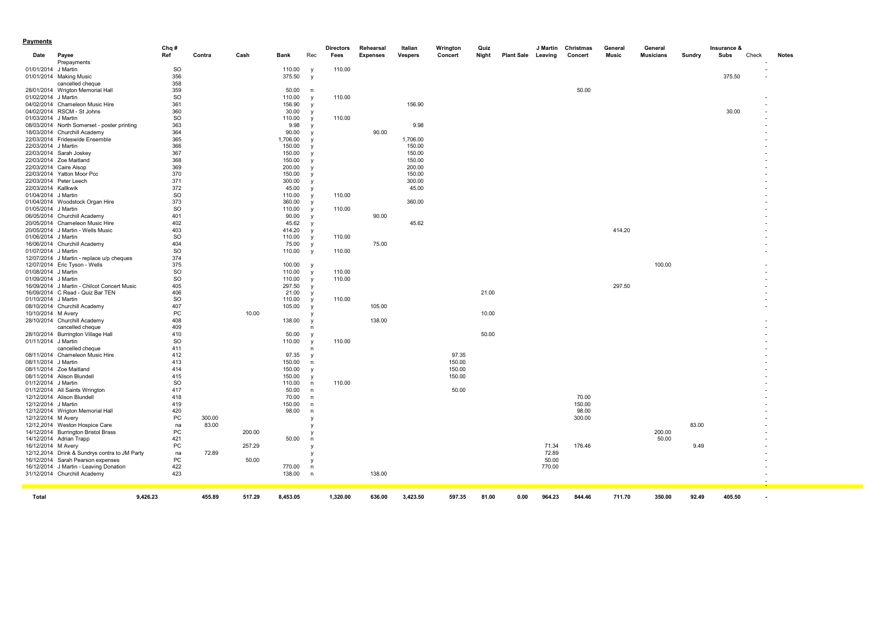| Payments            |                                               |                  |        |        |                  |                          |                  |                 |                |          |       |                           |          |           |         |                  |        |             |       |              |
|---------------------|-----------------------------------------------|------------------|--------|--------|------------------|--------------------------|------------------|-----------------|----------------|----------|-------|---------------------------|----------|-----------|---------|------------------|--------|-------------|-------|--------------|
|                     |                                               | Chq#             |        |        |                  |                          | <b>Directors</b> | Rehearsal       | Italian        | Wrington | Quiz  |                           | J Martin | Christmas | General | General          |        | Insurance & |       |              |
| Date                | Payee                                         | Ref              | Contra | Cash   | Bank             | Rec                      | Fees             | <b>Expenses</b> | <b>Vespers</b> | Concert  | Night | <b>Plant Sale Leaving</b> |          | Concert   | Music   | <b>Musicians</b> | Sundry | Subs        | Check | <b>Notes</b> |
|                     | Prepayments                                   |                  |        |        |                  |                          |                  |                 |                |          |       |                           |          |           |         |                  |        |             |       |              |
| 01/01/2014 J Martin | 01/01/2014 Making Music                       | <b>SO</b><br>356 |        |        | 110.00<br>375.50 | <b>V</b><br>y            | 110.00           |                 |                |          |       |                           |          |           |         |                  |        | 375.50      |       |              |
|                     | cancelled cheque                              | 358              |        |        |                  |                          |                  |                 |                |          |       |                           |          |           |         |                  |        |             |       |              |
|                     | 28/01/2014 Wrigton Memorial Hall              | 359              |        |        | 50.00            | n                        |                  |                 |                |          |       |                           |          | 50.00     |         |                  |        |             |       |              |
| 01/02/2014 J Martin |                                               | <b>SO</b>        |        |        | 110.00           | y                        | 110.00           |                 |                |          |       |                           |          |           |         |                  |        |             |       |              |
|                     | 04/02/2014 Chameleon Music Hire               | 361              |        |        | 156.90           | $\mathbf{v}$             |                  |                 | 156.90         |          |       |                           |          |           |         |                  |        |             |       |              |
|                     | 04/02/2014 RSCM - St Johns                    | 360              |        |        | 30.00            | <b>V</b>                 |                  |                 |                |          |       |                           |          |           |         |                  |        | 30.00       |       |              |
| 01/03/2014 J Martin |                                               | <b>SO</b>        |        |        | 110.00           | $\mathsf{v}$             | 110.00           |                 |                |          |       |                           |          |           |         |                  |        |             |       |              |
|                     | 08/03/2014 North Somerset - poster printing   | 363              |        |        | 9.98             | y                        |                  |                 | 9.98           |          |       |                           |          |           |         |                  |        |             |       |              |
|                     | 18/03/2014 Churchill Academy                  | 364              |        |        | 90.00            | $\mathsf{v}$             |                  | 90.00           |                |          |       |                           |          |           |         |                  |        |             |       |              |
|                     | 22/03/2014 Frideswide Ensemble                | 365              |        |        | 1,706.00         |                          |                  |                 | 1,706.00       |          |       |                           |          |           |         |                  |        |             |       |              |
| 22/03/2014 J Martin |                                               | 366              |        |        | 150.00           |                          |                  |                 | 150.00         |          |       |                           |          |           |         |                  |        |             |       |              |
|                     | 22/03/2014 Sarah Joskey                       | 367              |        |        | 150.00           | <b>V</b>                 |                  |                 | 150.00         |          |       |                           |          |           |         |                  |        |             |       |              |
|                     | 22/03/2014 Zoe Maitland                       | 368              |        |        | 150.00           |                          |                  |                 | 150.00         |          |       |                           |          |           |         |                  |        |             |       |              |
|                     | 22/03/2014 Caire Alsop                        | 369              |        |        | 200.00           | <b>V</b>                 |                  |                 | 200.00         |          |       |                           |          |           |         |                  |        |             |       |              |
|                     | 22/03/2014 Yatton Moor Pcc                    | 370              |        |        | 150.00           |                          |                  |                 | 150.00         |          |       |                           |          |           |         |                  |        |             |       |              |
|                     | 22/03/2014 Peter Leech                        | 371              |        |        | 300.00           | $\mathsf{v}$             |                  |                 | 300.00         |          |       |                           |          |           |         |                  |        |             |       |              |
| 22/03/2014 Kallkwik |                                               | 372              |        |        | 45.00            | $\mathsf{v}$             |                  |                 | 45.00          |          |       |                           |          |           |         |                  |        |             |       |              |
| 01/04/2014 J Martin |                                               | <b>SO</b>        |        |        | 110.00           | <b>V</b>                 | 110.00           |                 |                |          |       |                           |          |           |         |                  |        |             |       |              |
|                     | 01/04/2014 Woodstock Organ Hire               | 373              |        |        | 360.00           | $\mathsf{v}$             |                  |                 | 360.00         |          |       |                           |          |           |         |                  |        |             |       |              |
| 01/05/2014 J Martin | 06/05/2014 Churchill Academy                  | <b>SO</b><br>401 |        |        | 110.00<br>90.00  | <b>V</b>                 | 110.00           | 90.00           |                |          |       |                           |          |           |         |                  |        |             |       |              |
|                     | 20/05/2014 Chameleon Music Hire               | 402              |        |        | 45.62            | <b>V</b>                 |                  |                 | 45.62          |          |       |                           |          |           |         |                  |        |             |       |              |
|                     | 20/05/2014 J Martin - Wells Music             | 403              |        |        | 414.20           | $\mathsf{v}$<br><b>V</b> |                  |                 |                |          |       |                           |          |           | 414.20  |                  |        |             |       |              |
| 01/06/2014 J Martin |                                               | <b>SO</b>        |        |        | 110.00           | $\mathsf{v}$             | 110.00           |                 |                |          |       |                           |          |           |         |                  |        |             |       |              |
|                     | 16/06/2014 Churchill Academy                  | 404              |        |        | 75.00            | y                        |                  | 75.00           |                |          |       |                           |          |           |         |                  |        |             |       |              |
| 01/07/2014 J Martin |                                               | <b>SO</b>        |        |        | 110.00           | y                        | 110.00           |                 |                |          |       |                           |          |           |         |                  |        |             |       |              |
|                     | 12/07/2014 J Martin - replace u/p cheques     | 374              |        |        |                  |                          |                  |                 |                |          |       |                           |          |           |         |                  |        |             |       |              |
|                     | 12/07/2014 Eric Tyson - Wells                 | 375              |        |        | 100.00           | $\mathsf{v}$             |                  |                 |                |          |       |                           |          |           |         | 100.00           |        |             |       |              |
| 01/08/2014 J Martin |                                               | <b>SO</b>        |        |        | 110.00           | $\mathsf{v}$             | 110.00           |                 |                |          |       |                           |          |           |         |                  |        |             |       |              |
| 01/09/2014 J Martin |                                               | <b>SO</b>        |        |        | 110.00           | $\mathsf{v}$             | 110.00           |                 |                |          |       |                           |          |           |         |                  |        |             |       |              |
|                     | 16/09/2014 J Martin - Chilcot Concert Music   | 405              |        |        | 297.50           | <b>V</b>                 |                  |                 |                |          |       |                           |          |           | 297.50  |                  |        |             |       |              |
|                     | 16/09/2014 C Read - Quiz Bar TEN              | 406              |        |        | 21.00            | <b>V</b>                 |                  |                 |                |          | 21.00 |                           |          |           |         |                  |        |             |       |              |
| 01/10/2014 J Martin |                                               | <b>SO</b>        |        |        | 110.00           | <b>V</b>                 | 110.00           |                 |                |          |       |                           |          |           |         |                  |        |             |       |              |
|                     | 08/10/2014 Churchill Academy                  | 407              |        |        | 105.00           | $\mathsf{v}$             |                  | 105.00          |                |          |       |                           |          |           |         |                  |        |             |       |              |
|                     | 10/10/2014 M Avery                            | PC               |        | 10.00  |                  |                          |                  |                 |                |          | 10.00 |                           |          |           |         |                  |        |             |       |              |
|                     | 28/10/2014 Churchill Academy                  | 408              |        |        | 138.00           |                          |                  | 138.00          |                |          |       |                           |          |           |         |                  |        |             |       |              |
|                     | cancelled cheque                              | 409              |        |        |                  | n                        |                  |                 |                |          |       |                           |          |           |         |                  |        |             |       |              |
|                     | 28/10/2014 Burrington Village Hall            | 410              |        |        | 50.00            |                          |                  |                 |                |          | 50.00 |                           |          |           |         |                  |        |             |       |              |
| 01/11/2014 J Martin |                                               | <b>SO</b><br>411 |        |        | 110.00           | $\mathsf{v}$             | 110.00           |                 |                |          |       |                           |          |           |         |                  |        |             |       |              |
|                     | cancelled cheque                              |                  |        |        |                  | n                        |                  |                 |                | 97.35    |       |                           |          |           |         |                  |        |             |       |              |
| 08/11/2014 J Martin | 08/11/2014 Chameleon Music Hire               | 412<br>413       |        |        | 97.35<br>150.00  |                          |                  |                 |                | 150.00   |       |                           |          |           |         |                  |        |             |       |              |
|                     | 08/11/2014 Zoe Maitland                       | 414              |        |        | 150.00           | n<br>$\mathbf{v}$        |                  |                 |                | 150.00   |       |                           |          |           |         |                  |        |             |       |              |
|                     | 08/11/2014 Alison Blundell                    | 415              |        |        | 150.00           | <b>V</b>                 |                  |                 |                | 150.00   |       |                           |          |           |         |                  |        |             |       |              |
| 01/12/2014 J Martin |                                               | <b>SO</b>        |        |        | 110.00           | n                        | 110.00           |                 |                |          |       |                           |          |           |         |                  |        |             |       |              |
|                     | 01/12/2014 All Saints Wrington                | 417              |        |        | 50.00            | n                        |                  |                 |                | 50.00    |       |                           |          |           |         |                  |        |             |       |              |
|                     | 12/12/2014 Alison Blundell                    | 418              |        |        | 70.00            | n                        |                  |                 |                |          |       |                           |          | 70.00     |         |                  |        |             |       |              |
| 12/12/2014 J Martin |                                               | 419              |        |        | 150.00           | n                        |                  |                 |                |          |       |                           |          | 150.00    |         |                  |        |             |       |              |
|                     | 12/12/2014 Wrigton Memorial Hall              | 420              |        |        | 98.00            | n                        |                  |                 |                |          |       |                           |          | 98.00     |         |                  |        |             |       |              |
| 12/12/2014 M Avery  |                                               | PC               | 300.00 |        |                  |                          |                  |                 |                |          |       |                           |          | 300.00    |         |                  |        |             |       |              |
|                     | 12/12,2014 Weston Hospice Care                | na               | 83.00  |        |                  |                          |                  |                 |                |          |       |                           |          |           |         |                  | 83.00  |             |       |              |
|                     | 14/12/2014 Burrington Bristol Brass           | PC               |        | 200.00 |                  |                          |                  |                 |                |          |       |                           |          |           |         | 200.00           |        |             |       |              |
|                     | 14/12/2014 Adrian Trapp                       | 421              |        |        | 50.00            | n                        |                  |                 |                |          |       |                           |          |           |         | 50.00            |        |             |       |              |
| 16/12/2014 M Avery  |                                               | PC               |        | 257.29 |                  |                          |                  |                 |                |          |       |                           | 71.34    | 176.46    |         |                  | 9.49   |             |       |              |
|                     | 12/12,2014 Drink & Sundrys contra to JM Party | na               | 72.89  |        |                  |                          |                  |                 |                |          |       |                           | 72.89    |           |         |                  |        |             |       |              |
|                     | 16/12/2014 Sarah Pearson expenses             | PC               |        | 50.00  |                  |                          |                  |                 |                |          |       |                           | 50.00    |           |         |                  |        |             |       |              |
|                     | 16/12/2014 J Martin - Leaving Donation        | 422              |        |        | 770.00           | $\mathsf{n}$             |                  |                 |                |          |       |                           | 770.00   |           |         |                  |        |             |       |              |
|                     | 31/12/2014 Churchill Academy                  | 423              |        |        | 138.00           | $\mathsf{n}$             |                  | 138.00          |                |          |       |                           |          |           |         |                  |        |             |       |              |
|                     |                                               |                  |        |        |                  |                          |                  |                 |                |          |       |                           |          |           |         |                  |        |             |       |              |
|                     |                                               |                  |        |        |                  |                          |                  |                 |                |          |       |                           |          |           |         |                  |        |             |       |              |
| Total               |                                               | 9,426.23         | 455.89 | 517.29 | 8,453.05         |                          | 1,320.00         | 636.00          | 3,423.50       | 597.35   | 81.00 | 0.00                      | 964.23   | 844.46    | 711.70  | 350.00           | 92.49  | 405.50      |       |              |